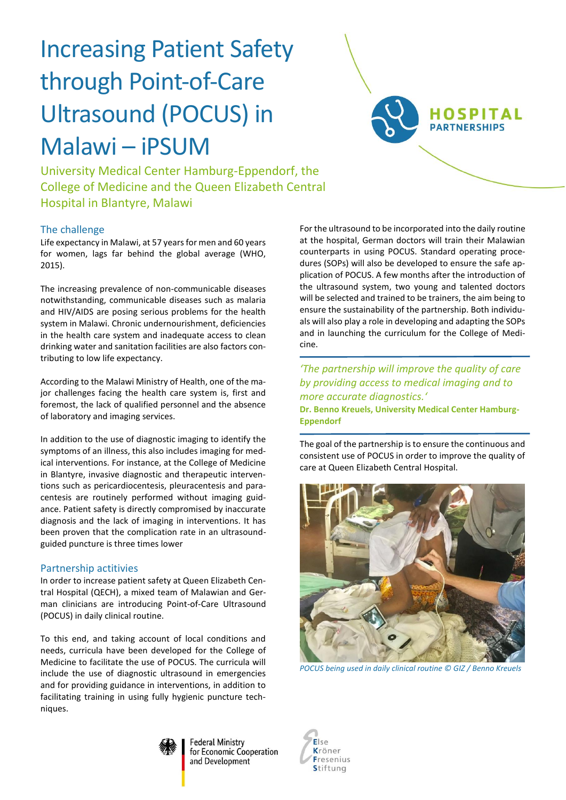# Increasing Patient Safety through Point-of-Care Ultrasound (POCUS) in Malawi – iPSUM



University Medical Center Hamburg-Eppendorf, the College of Medicine and the Queen Elizabeth Central Hospital in Blantyre, Malawi

## The challenge

Life expectancy in Malawi, at 57 years for men and 60 years for women, lags far behind the global average (WHO, 2015).

The increasing prevalence of non-communicable diseases notwithstanding, communicable diseases such as malaria and HIV/AIDS are posing serious problems for the health system in Malawi. Chronic undernourishment, deficiencies in the health care system and inadequate access to clean drinking water and sanitation facilities are also factors contributing to low life expectancy.

According to the Malawi Ministry of Health, one of the major challenges facing the health care system is, first and foremost, the lack of qualified personnel and the absence of laboratory and imaging services.

In addition to the use of diagnostic imaging to identify the symptoms of an illness, this also includes imaging for medical interventions. For instance, at the College of Medicine in Blantyre, invasive diagnostic and therapeutic interventions such as pericardiocentesis, pleuracentesis and paracentesis are routinely performed without imaging guidance. Patient safety is directly compromised by inaccurate diagnosis and the lack of imaging in interventions. It has been proven that the complication rate in an ultrasoundguided puncture is three times lower

## Partnership actitivies

In order to increase patient safety at Queen Elizabeth Central Hospital (QECH), a mixed team of Malawian and German clinicians are introducing Point-of-Care Ultrasound (POCUS) in daily clinical routine.

To this end, and taking account of local conditions and needs, curricula have been developed for the College of Medicine to facilitate the use of POCUS. The curricula will include the use of diagnostic ultrasound in emergencies and for providing guidance in interventions, in addition to facilitating training in using fully hygienic puncture techniques.

For the ultrasound to be incorporated into the daily routine at the hospital, German doctors will train their Malawian counterparts in using POCUS. Standard operating procedures (SOPs) will also be developed to ensure the safe application of POCUS. A few months after the introduction of the ultrasound system, two young and talented doctors will be selected and trained to be trainers, the aim being to ensure the sustainability of the partnership. Both individuals will also play a role in developing and adapting the SOPs and in launching the curriculum for the College of Medicine.

*'The partnership will improve the quality of care by providing access to medical imaging and to more accurate diagnostics.'* **Dr. Benno Kreuels, University Medical Center Hamburg-Eppendorf**

The goal of the partnership is to ensure the continuous and consistent use of POCUS in order to improve the quality of care at Queen Elizabeth Central Hospital.



*POCUS being used in daily clinical routine © GIZ / Benno Kreuels*